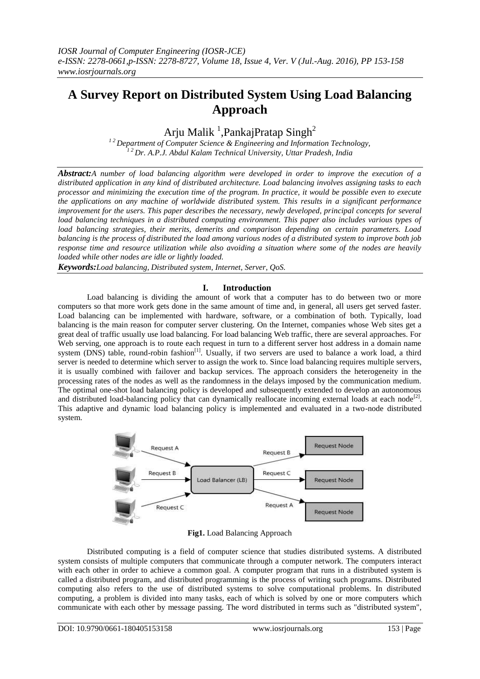# **A Survey Report on Distributed System Using Load Balancing Approach**

Arju Malik<sup>1</sup>, Pankaj Pratap Singh<sup>2</sup>

<sup>12</sup> Department of Computer Science & Engineering and Information Technology, *1 2 Dr. A.P.J. Abdul Kalam Technical University, Uttar Pradesh, India*

*Abstract:A number of load balancing algorithm were developed in order to improve the execution of a distributed application in any kind of distributed architecture. Load balancing involves assigning tasks to each processor and minimizing the execution time of the program. In practice, it would be possible even to execute the applications on any machine of worldwide distributed system. This results in a significant performance improvement for the users. This paper describes the necessary, newly developed, principal concepts for several load balancing techniques in a distributed computing environment. This paper also includes various types of load balancing strategies, their merits, demerits and comparison depending on certain parameters. Load balancing is the process of distributed the load among various nodes of a distributed system to improve both job response time and resource utilization while also avoiding a situation where some of the nodes are heavily loaded while other nodes are idle or lightly loaded.*

*Keywords:Load balancing, Distributed system, Internet, Server, QoS.*

## **I. Introduction**

Load balancing is dividing the amount of work that a computer has to do between two or more computers so that more work gets done in the same amount of time and, in general, all users get served faster. Load balancing can be implemented with hardware, software, or a combination of both. Typically, load balancing is the main reason for computer server [clustering.](http://searchdatacenter.techtarget.com/definition/cluster-computing) On the Internet, companies whose Web sites get a great deal of traffic usually use load balancing. For load balancing Web traffic, there are several approaches. For Web serving, one approach is to route each request in turn to a different server host address in a domain name system [\(DNS\)](http://searchnetworking.techtarget.com/definition/domain-name-system) table, round-robin fashion<sup>[1]</sup>. Usually, if two servers are used to balance a work load, a third server is needed to determine which server to assign the work to. Since load balancing requires multiple servers, it is usually combined with [failover](http://searchstorage.techtarget.com/definition/failover) and [backup](http://searchstorage.techtarget.com/definition/backup) services. The approach considers the heterogeneity in the processing rates of the nodes as well as the randomness in the delays imposed by the communication medium. The optimal one-shot load balancing policy is developed and subsequently extended to develop an autonomous and distributed load-balancing policy that can dynamically reallocate incoming external loads at each node<sup>[2]</sup>. This adaptive and dynamic load balancing policy is implemented and evaluated in a two-node distributed system.



**Fig1.** Load Balancing Approach

Distributed computing is a field of [computer science](http://en.wikipedia.org/wiki/Computer_science) that studies distributed systems. A distributed system consists of multiple [computers](http://en.wikipedia.org/wiki/Computer) that communicate through a [computer network.](http://en.wikipedia.org/wiki/Computer_network) The computers interact with each other in order to achieve a common goal. A [computer program](http://en.wikipedia.org/wiki/Computer_program) that runs in a distributed system is called a distributed program, and distributed programming is the process of writing such programs. Distributed computing also refers to the use of distributed systems to solve computational problems. In distributed computing, a problem is divided into many tasks, each of which is solved by one or more computers which communicate with each other by [message passing.](http://en.wikipedia.org/wiki/Message_passing) The word distributed in terms such as "distributed system",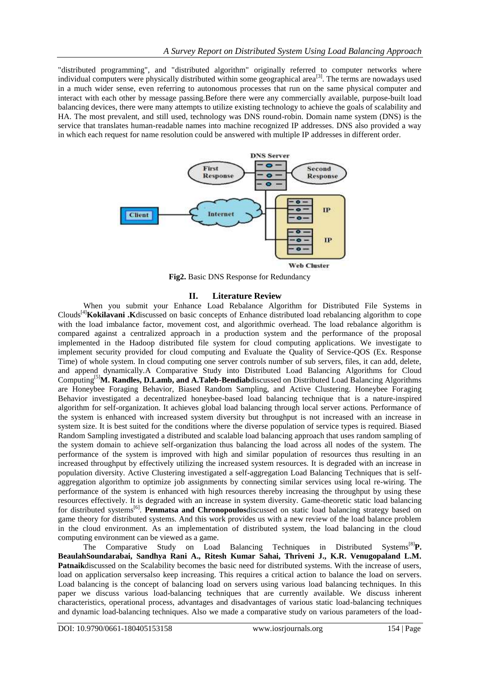"distributed programming", and ["distributed algorithm"](http://en.wikipedia.org/wiki/Distributed_algorithm) originally referred to computer networks where individual computers were physically distributed within some geographical area<sup>[3]</sup>. The terms are nowadays used in a much wider sense, even referring to autonomous [processes](http://en.wikipedia.org/wiki/Process_(computing)) that run on the same physical computer and interact with each other by message passing.Before there were any commercially available, purpose-built load balancing devices, there were many attempts to utilize existing technology to achieve the goals of scalability and HA. The most prevalent, and still used, technology was DNS round-robin. Domain name system (DNS) is the service that translates human-readable names into machine recognized IP addresses. DNS also provided a way in which each request for name resolution could be answered with multiple IP addresses in different order.



**Fig2.** Basic DNS Response for Redundancy

## **II. Literature Review**

When you submit your Enhance Load Rebalance Algorithm for Distributed File Systems in Clouds[4]**Kokilavani .K**discussed on basic concepts of Enhance distributed load rebalancing algorithm to cope with the load imbalance factor, movement cost, and algorithmic overhead. The load rebalance algorithm is compared against a centralized approach in a production system and the performance of the proposal implemented in the Hadoop distributed file system for cloud computing applications. We investigate to implement security provided for cloud computing and Evaluate the Quality of Service-QOS (Ex. Response Time) of whole system. In cloud computing one server controls number of sub servers, files, it can add, delete, and append dynamically.A Comparative Study into Distributed Load Balancing Algorithms for Cloud Computing[5]**M. Randles, D.Lamb, and A.Taleb-Bendiab**discussed on Distributed Load Balancing Algorithms are Honeybee Foraging Behavior, Biased Random Sampling, and Active Clustering. Honeybee Foraging Behavior investigated a decentralized honeybee-based load balancing technique that is a nature-inspired algorithm for self-organization. It achieves global load balancing through local server actions. Performance of the system is enhanced with increased system diversity but throughput is not increased with an increase in system size. It is best suited for the conditions where the diverse population of service types is required. Biased Random Sampling investigated a distributed and scalable load balancing approach that uses random sampling of the system domain to achieve self-organization thus balancing the load across all nodes of the system. The performance of the system is improved with high and similar population of resources thus resulting in an increased throughput by effectively utilizing the increased system resources. It is degraded with an increase in population diversity. Active Clustering investigated a self-aggregation Load Balancing Techniques that is selfaggregation algorithm to optimize job assignments by connecting similar services using local re-wiring. The performance of the system is enhanced with high resources thereby increasing the throughput by using these resources effectively. It is degraded with an increase in system diversity. Game-theoretic static load balancing for distributed systems<sup>[6]</sup>. Penmatsa and Chronopoulosdiscussed on static load balancing strategy based on game theory for distributed systems. And this work provides us with a new review of the load balance problem in the cloud environment. As an implementation of distributed system, the load balancing in the cloud computing environment can be viewed as a game.

The Comparative Study on Load Balancing Techniques in Distributed Systems[8]**P. BeaulahSoundarabai, Sandhya Rani A., Ritesh Kumar Sahai, Thriveni J., K.R. Venugopaland L.M. Patnaik**discussed on the Scalability becomes the basic need for distributed systems. With the increase of users, load on application serversalso keep increasing. This requires a critical action to balance the load on servers. Load balancing is the concept of balancing load on servers using various load balancing techniques. In this paper we discuss various load-balancing techniques that are currently available. We discuss inherent characteristics, operational process, advantages and disadvantages of various static load-balancing techniques and dynamic load-balancing techniques. Also we made a comparative study on various parameters of the load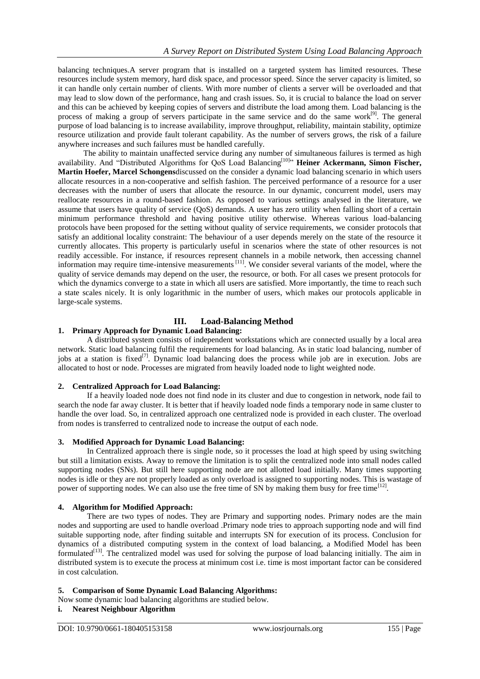balancing techniques.A server program that is installed on a targeted system has limited resources. These resources include system memory, hard disk space, and processor speed. Since the server capacity is limited, so it can handle only certain number of clients. With more number of clients a server will be overloaded and that may lead to slow down of the performance, hang and crash issues. So, it is crucial to balance the load on server and this can be achieved by keeping copies of servers and distribute the load among them. Load balancing is the process of making a group of servers participate in the same service and do the same work<sup>[9]</sup>. The general purpose of load balancing is to increase availability, improve throughput, reliability, maintain stability, optimize resource utilization and provide fault tolerant capability. As the number of servers grows, the risk of a failure anywhere increases and such failures must be handled carefully.

The ability to maintain unaffected service during any number of simultaneous failures is termed as high availability. And "Distributed Algorithms for QoS Load Balancing<sup>[10]</sup>" Heiner Ackermann, Simon Fischer, **Martin Hoefer, Marcel Schongens**discussed on the consider a dynamic load balancing scenario in which users allocate resources in a non-cooperative and selfish fashion. The perceived performance of a resource for a user decreases with the number of users that allocate the resource. In our dynamic, concurrent model, users may reallocate resources in a round-based fashion. As opposed to various settings analysed in the literature, we assume that users have quality of service (QoS) demands. A user has zero utility when falling short of a certain minimum performance threshold and having positive utility otherwise. Whereas various load-balancing protocols have been proposed for the setting without quality of service requirements, we consider protocols that satisfy an additional locality constraint: The behaviour of a user depends merely on the state of the resource it currently allocates. This property is particularly useful in scenarios where the state of other resources is not readily accessible. For instance, if resources represent channels in a mobile network, then accessing channel information may require time-intensive measurements<sup>[11]</sup>. We consider several variants of the model, where the quality of service demands may depend on the user, the resource, or both. For all cases we present protocols for which the dynamics converge to a state in which all users are satisfied. More importantly, the time to reach such a state scales nicely. It is only logarithmic in the number of users, which makes our protocols applicable in large-scale systems.

## **III. Load-Balancing Method**

# **1. Primary Approach for Dynamic Load Balancing:**

A distributed system consists of independent workstations which are connected usually by a local area network. Static load balancing fulfil the requirements for load balancing. As in static load balancing, number of jobs at a station is fixed<sup>[7]</sup>. Dynamic load balancing does the process while job are in execution. Jobs are allocated to host or node. Processes are migrated from heavily loaded node to light weighted node.

#### **2. Centralized Approach for Load Balancing:**

If a heavily loaded node does not find node in its cluster and due to congestion in network, node fail to search the node far away cluster. It is better that if heavily loaded node finds a temporary node in same cluster to handle the over load. So, in centralized approach one centralized node is provided in each cluster. The overload from nodes is transferred to centralized node to increase the output of each node.

#### **3. Modified Approach for Dynamic Load Balancing:**

In Centralized approach there is single node, so it processes the load at high speed by using switching but still a limitation exists. Away to remove the limitation is to split the centralized node into small nodes called supporting nodes (SNs). But still here supporting node are not allotted load initially. Many times supporting nodes is idle or they are not properly loaded as only overload is assigned to supporting nodes. This is wastage of power of supporting nodes. We can also use the free time of SN by making them busy for free time<sup>[12]</sup>.

## **4. Algorithm for Modified Approach:**

There are two types of nodes. They are Primary and supporting nodes. Primary nodes are the main nodes and supporting are used to handle overload .Primary node tries to approach supporting node and will find suitable supporting node, after finding suitable and interrupts SN for execution of its process. Conclusion for dynamics of a distributed computing system in the context of load balancing, a Modified Model has been formulated<sup>[13]</sup>. The centralized model was used for solving the purpose of load balancing initially. The aim in distributed system is to execute the process at minimum cost i.e. time is most important factor can be considered in cost calculation.

#### **5. Comparison of Some Dynamic Load Balancing Algorithms:**

Now some dynamic load balancing algorithms are studied below.

#### **i. Nearest Neighbour Algorithm**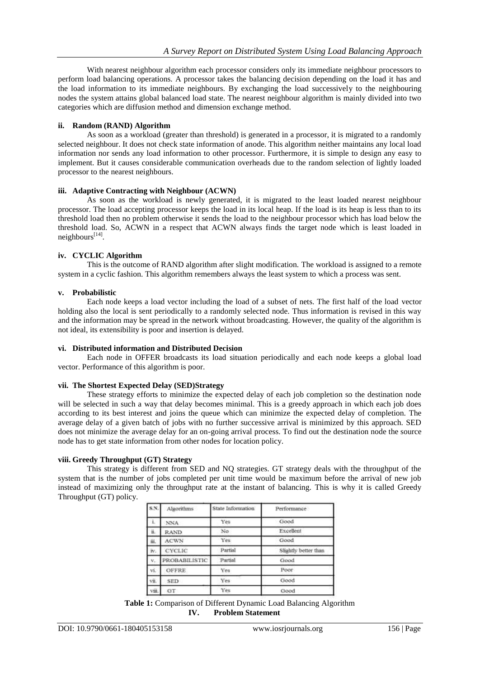With nearest neighbour algorithm each processor considers only its immediate neighbour processors to perform load balancing operations. A processor takes the balancing decision depending on the load it has and the load information to its immediate neighbours. By exchanging the load successively to the neighbouring nodes the system attains global balanced load state. The nearest neighbour algorithm is mainly divided into two categories which are diffusion method and dimension exchange method.

## **ii. Random (RAND) Algorithm**

As soon as a workload (greater than threshold) is generated in a processor, it is migrated to a randomly selected neighbour. It does not check state information of anode. This algorithm neither maintains any local load information nor sends any load information to other processor. Furthermore, it is simple to design any easy to implement. But it causes considerable communication overheads due to the random selection of lightly loaded processor to the nearest neighbours.

## **iii. Adaptive Contracting with Neighbour (ACWN)**

As soon as the workload is newly generated, it is migrated to the least loaded nearest neighbour processor. The load accepting processor keeps the load in its local heap. If the load is its heap is less than to its threshold load then no problem otherwise it sends the load to the neighbour processor which has load below the threshold load. So, ACWN in a respect that ACWN always finds the target node which is least loaded in neighbours<sup>[14]</sup>.

## **iv. CYCLIC Algorithm**

This is the outcome of RAND algorithm after slight modification. The workload is assigned to a remote system in a cyclic fashion. This algorithm remembers always the least system to which a process was sent.

## **v. Probabilistic**

Each node keeps a load vector including the load of a subset of nets. The first half of the load vector holding also the local is sent periodically to a randomly selected node. Thus information is revised in this way and the information may be spread in the network without broadcasting. However, the quality of the algorithm is not ideal, its extensibility is poor and insertion is delayed.

#### **vi. Distributed information and Distributed Decision**

Each node in OFFER broadcasts its load situation periodically and each node keeps a global load vector. Performance of this algorithm is poor.

#### **vii. The Shortest Expected Delay (SED)Strategy**

These strategy efforts to minimize the expected delay of each job completion so the destination node will be selected in such a way that delay becomes minimal. This is a greedy approach in which each job does according to its best interest and joins the queue which can minimize the expected delay of completion. The average delay of a given batch of jobs with no further successive arrival is minimized by this approach. SED does not minimize the average delay for an on-going arrival process. To find out the destination node the source node has to get state information from other nodes for location policy.

## **viii. Greedy Throughput (GT) Strategy**

This strategy is different from SED and NQ strategies. GT strategy deals with the throughput of the system that is the number of jobs completed per unit time would be maximum before the arrival of new job instead of maximizing only the throughput rate at the instant of balancing. This is why it is called Greedy Throughput (GT) policy.

| S.N.                   | Algorithms           | State Information | Performance          |
|------------------------|----------------------|-------------------|----------------------|
|                        | NNA                  | Yes               | Good                 |
| $\tilde{\mathbf{H}}_1$ | <b>RAND</b>          | No                | Excellent            |
| 茧.                     | <b>ACWN</b>          | Yes               | Good                 |
| īv.                    | <b>CYCLIC</b>        | Partial           | Slightly better than |
| $V_{+}$                | <b>PROBABILISTIC</b> | Partial           | Good                 |
| vi.                    | OFFRE                | Yes               | Poor                 |
| vii.                   | <b>SED</b>           | Yes               | Good                 |
| viii.                  | GT                   | Yes               | Good                 |

**Table 1:** Comparison of Different Dynamic Load Balancing Algorithm **IV. Problem Statement**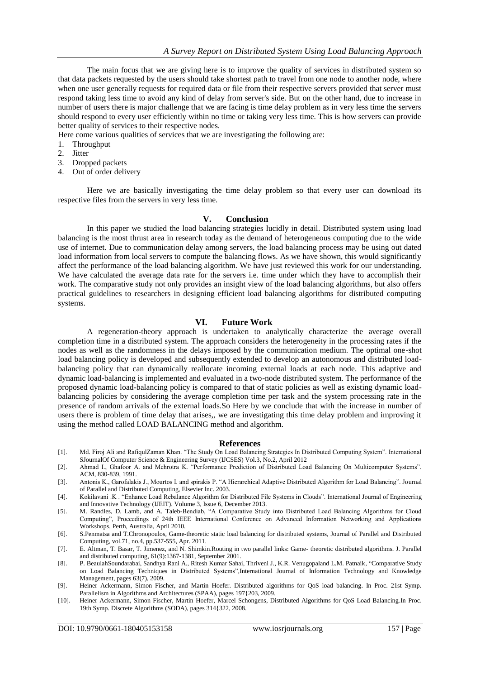The main focus that we are giving here is to improve the quality of services in distributed system so that data packets requested by the users should take shortest path to travel from one node to another node, where when one user generally requests for required data or file from their respective servers provided that server must respond taking less time to avoid any kind of delay from server's side. But on the other hand, due to increase in number of users there is major challenge that we are facing is time delay problem as in very less time the servers should respond to every user efficiently within no time or taking very less time. This is how servers can provide better quality of services to their respective nodes.

Here come various qualities of services that we are investigating the following are:

- 1. Throughput
- 2. Jitter
- 3. Dropped packets
- 4. Out of order delivery

Here we are basically investigating the time delay problem so that every user can download its respective files from the servers in very less time.

#### **V. Conclusion**

In this paper we studied the load balancing strategies lucidly in detail. Distributed system using load balancing is the most thrust area in research today as the demand of heterogeneous computing due to the wide use of internet. Due to communication delay among servers, the load balancing process may be using out dated load information from local servers to compute the balancing flows. As we have shown, this would significantly affect the performance of the load balancing algorithm. We have just reviewed this work for our understanding. We have calculated the average data rate for the servers i.e. time under which they have to accomplish their work. The comparative study not only provides an insight view of the load balancing algorithms, but also offers practical guidelines to researchers in designing efficient load balancing algorithms for distributed computing systems.

## **VI. Future Work**

A regeneration-theory approach is undertaken to analytically characterize the average overall completion time in a distributed system. The approach considers the heterogeneity in the processing rates if the nodes as well as the randomness in the delays imposed by the communication medium. The optimal one-shot load balancing policy is developed and subsequently extended to develop an autonomous and distributed loadbalancing policy that can dynamically reallocate incoming external loads at each node. This adaptive and dynamic load-balancing is implemented and evaluated in a two-node distributed system. The performance of the proposed dynamic load-balancing policy is compared to that of static policies as well as existing dynamic loadbalancing policies by considering the average completion time per task and the system processing rate in the presence of random arrivals of the external loads.So Here by we conclude that with the increase in number of users there is problem of time delay that arises,, we are investigating this time delay problem and improving it using the method called LOAD BALANCING method and algorithm.

#### **References**

- [1]. Md. Firoj Ali and RafiqulZaman Khan. "The Study On Load Balancing Strategies In Distributed Computing System". International SJournalOf Computer Science & Engineering Survey (IJCSES) Vol.3, No.2, April 2012
- [2]. Ahmad I., Ghafoor A. and Mehrotra K. "Performance Prediction of Distributed Load Balancing On Multicomputer Systems". ACM, 830-839, 1991.
- [3]. Antonis K., Garofalakis J., Mourtos I. and spirakis P. "A Hierarchical Adaptive Distributed Algorithm for Load Balancing". Journal of Parallel and Distributed Computing, Elsevier Inc. 2003.
- [4]. Kokilavani .K . "Enhance Load Rebalance Algorithm for Distributed File Systems in Clouds". International Journal of Engineering and Innovative Technology (IJEIT). Volume 3, Issue 6, December 2013.
- [5]. M. Randles, D. Lamb, and A. Taleb-Bendiab, "A Comparative Study into Distributed Load Balancing Algorithms for Cloud Computing", Proceedings of 24th IEEE International Conference on Advanced Information Networking and Applications Workshops, Perth, Australia, April 2010.
- [6]. S.Penmatsa and T.Chronopoulos, Game-theoretic static load balancing for distributed systems, Journal of Parallel and Distributed Computing, vol.71, no.4, pp.537-555, Apr. 2011.
- [7]. E. Altman, T. Basar, T. Jimenez, and N. Shimkin.Routing in two parallel links: Game- theoretic distributed algorithms. J. Parallel and distributed computing, 61(9):1367-1381, September 2001.
- [8]. P. BeaulahSoundarabai, Sandhya Rani A., Ritesh Kumar Sahai, Thriveni J., K.R. Venugopaland L.M. Patnaik, "Comparative Study on Load Balancing Techniques in Distributed Systems",International Journal of Information Technology and Knowledge Management, pages 63(7), 2009.
- [9]. Heiner Ackermann, Simon Fischer, and Martin Hoefer. Distributed algorithms for QoS load balancing. In Proc. 21st Symp. Parallelism in Algorithms and Architectures (SPAA), pages 197{203, 2009.
- [10]. Heiner Ackermann, Simon Fischer, Martin Hoefer, Marcel Schongens, Distributed Algorithms for QoS Load Balancing.In Proc. 19th Symp. Discrete Algorithms (SODA), pages 314{322, 2008.